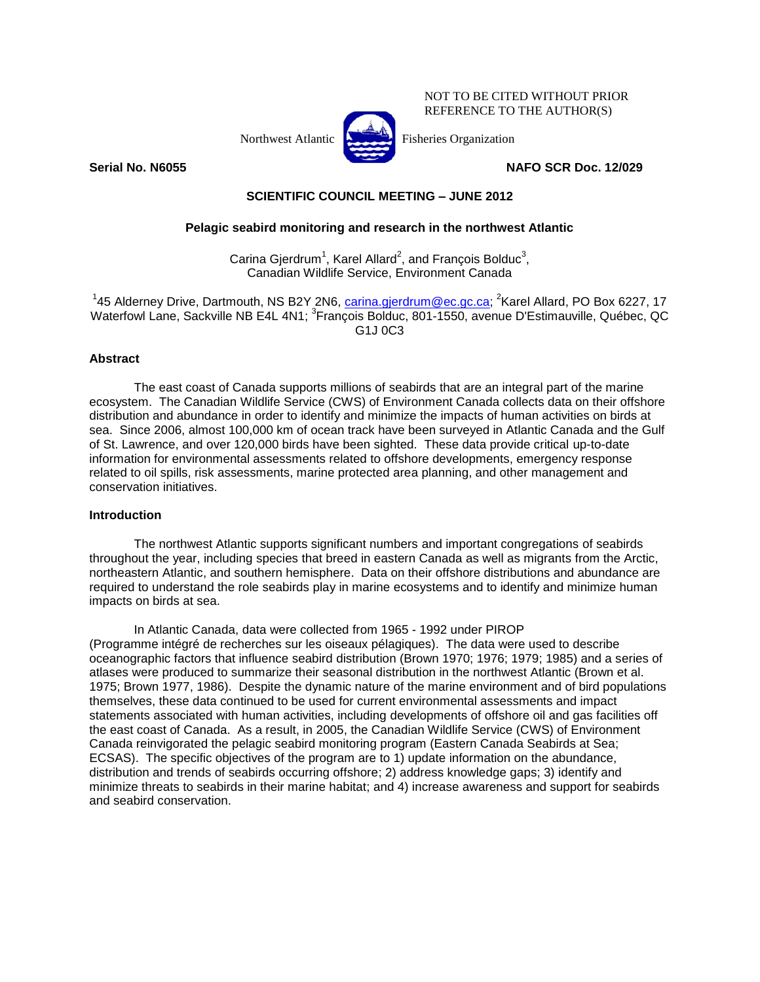

NOT TO BE CITED WITHOUT PRIOR REFERENCE TO THE AUTHOR(S)

**Serial No. N6055 NAFO SCR Doc. 12/029**

**SCIENTIFIC COUNCIL MEETING – JUNE 2012**

# **Pelagic seabird monitoring and research in the northwest Atlantic**

Carina Gjerdrum<sup>1</sup>, Karel Allard<sup>2</sup>, and François Bolduc<sup>3</sup>, Canadian Wildlife Service, Environment Canada

<sup>1</sup>45 Alderney Drive, Dartmouth, NS B2Y 2N6, <u>carina.gjerdrum@ec.gc.ca</u>; <sup>2</sup>Karel Allard, PO Box 6227, 17 Waterfowl Lane, Sackville NB E4L 4N1; <sup>3</sup>François Bolduc, 801-1550, avenue D'Estimauville, Québec, QC G1J 0C3

## **Abstract**

The east coast of Canada supports millions of seabirds that are an integral part of the marine ecosystem. The Canadian Wildlife Service (CWS) of Environment Canada collects data on their offshore distribution and abundance in order to identify and minimize the impacts of human activities on birds at sea. Since 2006, almost 100,000 km of ocean track have been surveyed in Atlantic Canada and the Gulf of St. Lawrence, and over 120,000 birds have been sighted. These data provide critical up-to-date information for environmental assessments related to offshore developments, emergency response related to oil spills, risk assessments, marine protected area planning, and other management and conservation initiatives.

### **Introduction**

The northwest Atlantic supports significant numbers and important congregations of seabirds throughout the year, including species that breed in eastern Canada as well as migrants from the Arctic, northeastern Atlantic, and southern hemisphere. Data on their offshore distributions and abundance are required to understand the role seabirds play in marine ecosystems and to identify and minimize human impacts on birds at sea.

In Atlantic Canada, data were collected from 1965 - 1992 under PIROP (Programme intégré de recherches sur les oiseaux pélagiques). The data were used to describe oceanographic factors that influence seabird distribution (Brown 1970; 1976; 1979; 1985) and a series of atlases were produced to summarize their seasonal distribution in the northwest Atlantic (Brown et al. 1975; Brown 1977, 1986). Despite the dynamic nature of the marine environment and of bird populations themselves, these data continued to be used for current environmental assessments and impact statements associated with human activities, including developments of offshore oil and gas facilities off the east coast of Canada. As a result, in 2005, the Canadian Wildlife Service (CWS) of Environment Canada reinvigorated the pelagic seabird monitoring program (Eastern Canada Seabirds at Sea; ECSAS). The specific objectives of the program are to 1) update information on the abundance, distribution and trends of seabirds occurring offshore; 2) address knowledge gaps; 3) identify and minimize threats to seabirds in their marine habitat; and 4) increase awareness and support for seabirds and seabird conservation.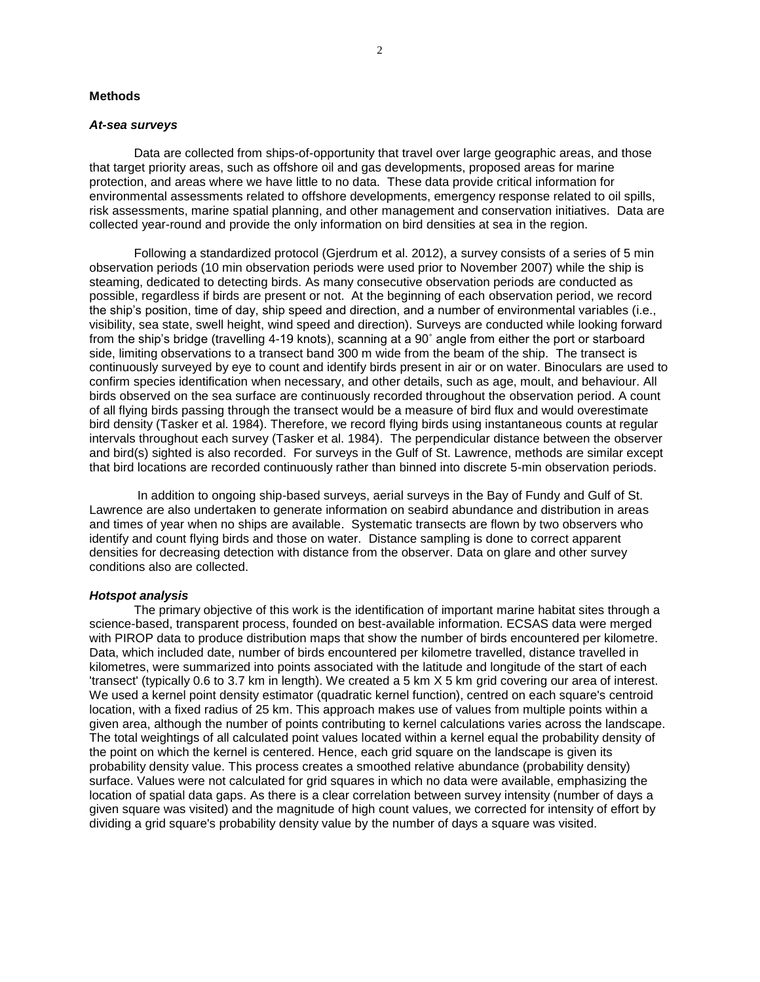#### **Methods**

### *At-sea surveys*

Data are collected from ships-of-opportunity that travel over large geographic areas, and those that target priority areas, such as offshore oil and gas developments, proposed areas for marine protection, and areas where we have little to no data. These data provide critical information for environmental assessments related to offshore developments, emergency response related to oil spills, risk assessments, marine spatial planning, and other management and conservation initiatives. Data are collected year-round and provide the only information on bird densities at sea in the region.

Following a standardized protocol (Gjerdrum et al. 2012), a survey consists of a series of 5 min observation periods (10 min observation periods were used prior to November 2007) while the ship is steaming, dedicated to detecting birds. As many consecutive observation periods are conducted as possible, regardless if birds are present or not. At the beginning of each observation period, we record the ship's position, time of day, ship speed and direction, and a number of environmental variables (i.e., visibility, sea state, swell height, wind speed and direction). Surveys are conducted while looking forward from the ship's bridge (travelling 4-19 knots), scanning at a 90˚ angle from either the port or starboard side, limiting observations to a transect band 300 m wide from the beam of the ship. The transect is continuously surveyed by eye to count and identify birds present in air or on water. Binoculars are used to confirm species identification when necessary, and other details, such as age, moult, and behaviour. All birds observed on the sea surface are continuously recorded throughout the observation period. A count of all flying birds passing through the transect would be a measure of bird flux and would overestimate bird density (Tasker et al. 1984). Therefore, we record flying birds using instantaneous counts at regular intervals throughout each survey (Tasker et al. 1984). The perpendicular distance between the observer and bird(s) sighted is also recorded. For surveys in the Gulf of St. Lawrence, methods are similar except that bird locations are recorded continuously rather than binned into discrete 5-min observation periods.

In addition to ongoing ship-based surveys, aerial surveys in the Bay of Fundy and Gulf of St. Lawrence are also undertaken to generate information on seabird abundance and distribution in areas and times of year when no ships are available. Systematic transects are flown by two observers who identify and count flying birds and those on water. Distance sampling is done to correct apparent densities for decreasing detection with distance from the observer. Data on glare and other survey conditions also are collected.

#### *Hotspot analysis*

The primary objective of this work is the identification of important marine habitat sites through a science-based, transparent process, founded on best-available information. ECSAS data were merged with PIROP data to produce distribution maps that show the number of birds encountered per kilometre. Data, which included date, number of birds encountered per kilometre travelled, distance travelled in kilometres, were summarized into points associated with the latitude and longitude of the start of each 'transect' (typically 0.6 to 3.7 km in length). We created a 5 km X 5 km grid covering our area of interest. We used a kernel point density estimator (quadratic kernel function), centred on each square's centroid location, with a fixed radius of 25 km. This approach makes use of values from multiple points within a given area, although the number of points contributing to kernel calculations varies across the landscape. The total weightings of all calculated point values located within a kernel equal the probability density of the point on which the kernel is centered. Hence, each grid square on the landscape is given its probability density value. This process creates a smoothed relative abundance (probability density) surface. Values were not calculated for grid squares in which no data were available, emphasizing the location of spatial data gaps. As there is a clear correlation between survey intensity (number of days a given square was visited) and the magnitude of high count values, we corrected for intensity of effort by dividing a grid square's probability density value by the number of days a square was visited.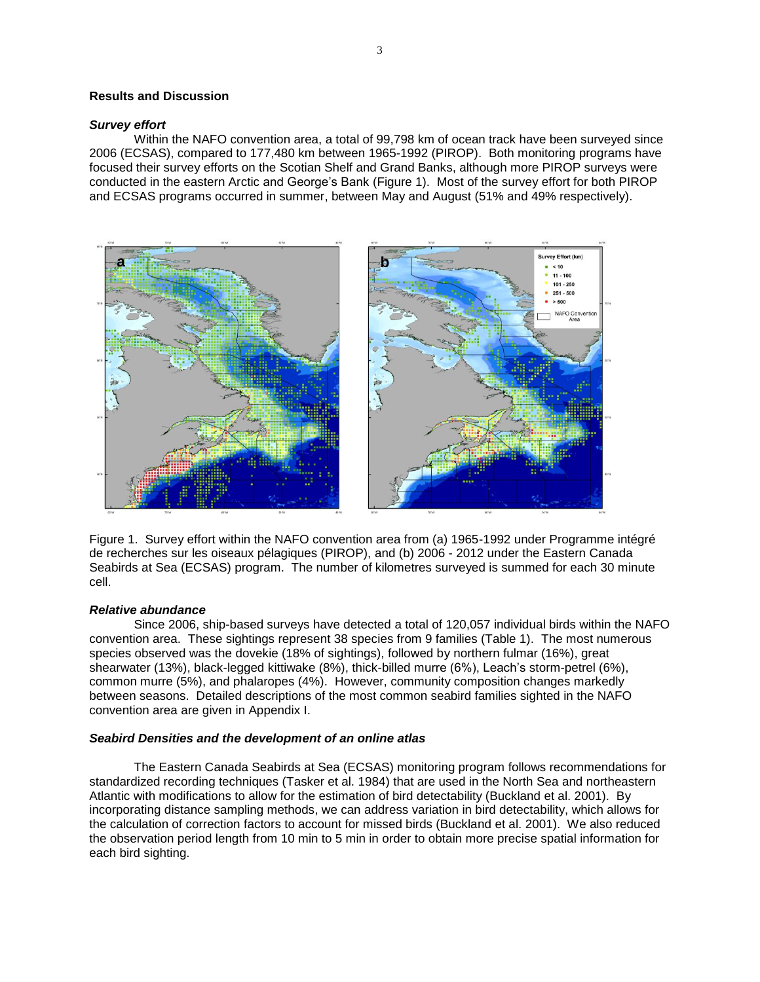### **Results and Discussion**

#### *Survey effort*

Within the NAFO convention area, a total of 99,798 km of ocean track have been surveyed since 2006 (ECSAS), compared to 177,480 km between 1965-1992 (PIROP). Both monitoring programs have focused their survey efforts on the Scotian Shelf and Grand Banks, although more PIROP surveys were conducted in the eastern Arctic and George's Bank (Figure 1). Most of the survey effort for both PIROP and ECSAS programs occurred in summer, between May and August (51% and 49% respectively).



Figure 1. Survey effort within the NAFO convention area from (a) 1965-1992 under Programme intégré de recherches sur les oiseaux pélagiques (PIROP), and (b) 2006 - 2012 under the Eastern Canada Seabirds at Sea (ECSAS) program. The number of kilometres surveyed is summed for each 30 minute cell.

### *Relative abundance*

Since 2006, ship-based surveys have detected a total of 120,057 individual birds within the NAFO convention area. These sightings represent 38 species from 9 families (Table 1). The most numerous species observed was the dovekie (18% of sightings), followed by northern fulmar (16%), great shearwater (13%), black-legged kittiwake (8%), thick-billed murre (6%), Leach's storm-petrel (6%), common murre (5%), and phalaropes (4%). However, community composition changes markedly between seasons. Detailed descriptions of the most common seabird families sighted in the NAFO convention area are given in Appendix I.

#### *Seabird Densities and the development of an online atlas*

The Eastern Canada Seabirds at Sea (ECSAS) monitoring program follows recommendations for standardized recording techniques (Tasker et al. 1984) that are used in the North Sea and northeastern Atlantic with modifications to allow for the estimation of bird detectability (Buckland et al. 2001). By incorporating distance sampling methods, we can address variation in bird detectability, which allows for the calculation of correction factors to account for missed birds (Buckland et al. 2001). We also reduced the observation period length from 10 min to 5 min in order to obtain more precise spatial information for each bird sighting.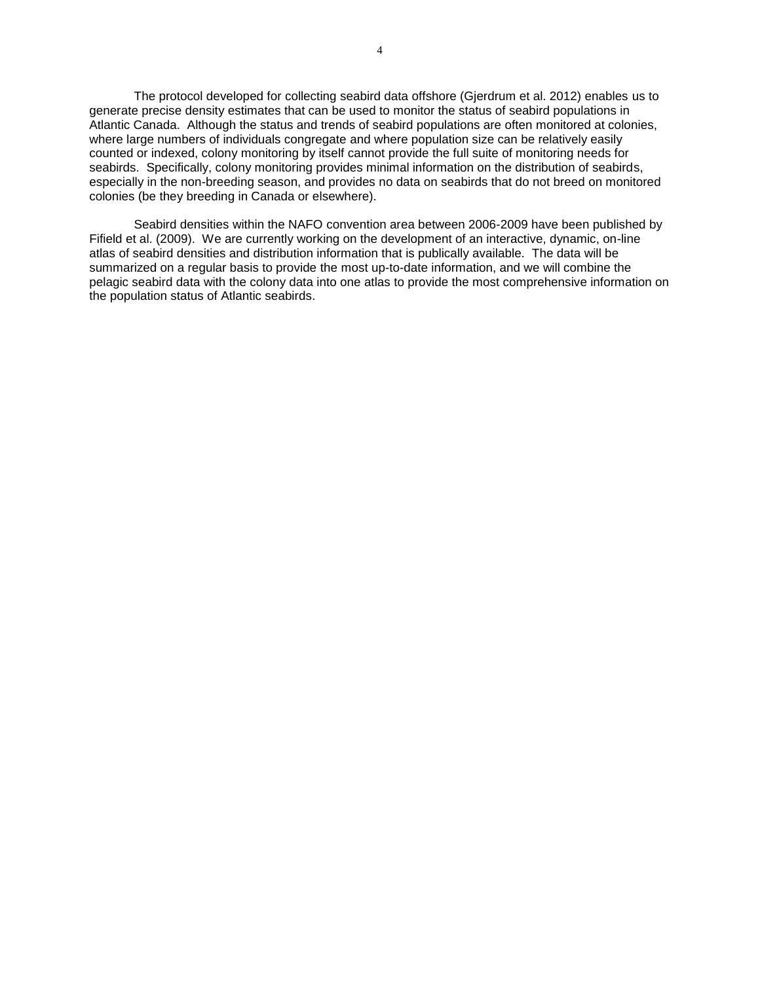The protocol developed for collecting seabird data offshore (Gjerdrum et al. 2012) enables us to generate precise density estimates that can be used to monitor the status of seabird populations in Atlantic Canada. Although the status and trends of seabird populations are often monitored at colonies, where large numbers of individuals congregate and where population size can be relatively easily counted or indexed, colony monitoring by itself cannot provide the full suite of monitoring needs for seabirds. Specifically, colony monitoring provides minimal information on the distribution of seabirds, especially in the non-breeding season, and provides no data on seabirds that do not breed on monitored colonies (be they breeding in Canada or elsewhere).

Seabird densities within the NAFO convention area between 2006-2009 have been published by Fifield et al. (2009). We are currently working on the development of an interactive, dynamic, on-line atlas of seabird densities and distribution information that is publically available. The data will be summarized on a regular basis to provide the most up-to-date information, and we will combine the pelagic seabird data with the colony data into one atlas to provide the most comprehensive information on the population status of Atlantic seabirds.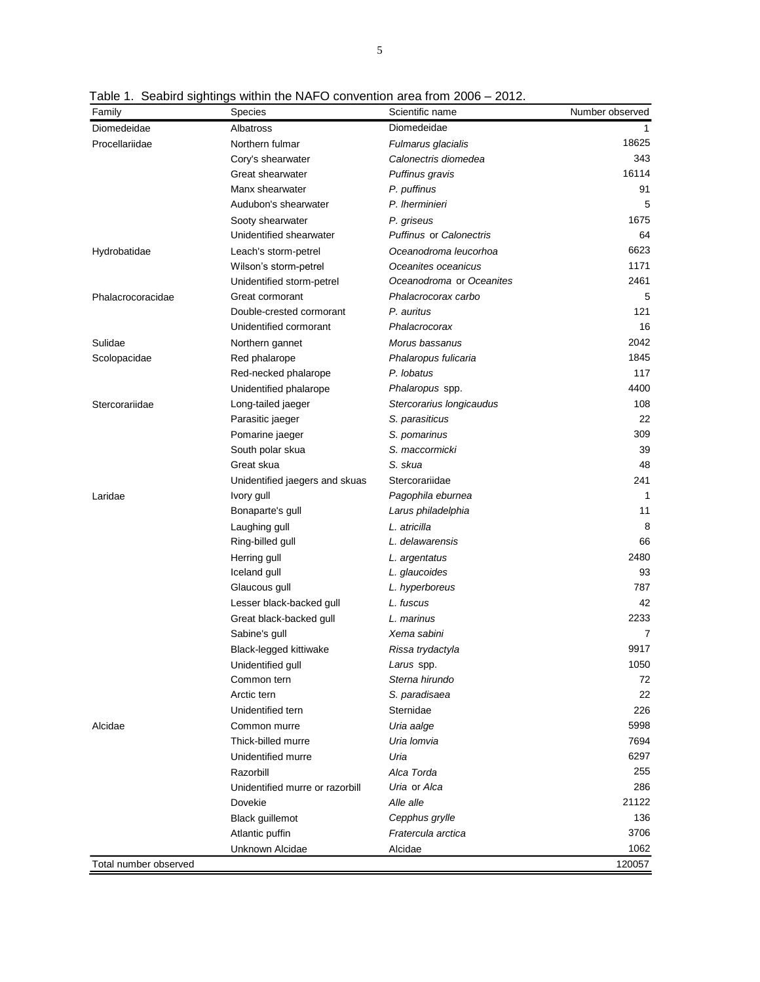| Family                | <b>Species</b>                  | Scientific name                | Number observed |
|-----------------------|---------------------------------|--------------------------------|-----------------|
| Diomedeidae           | Albatross                       | Diomedeidae                    |                 |
| Procellariidae        | Northern fulmar                 | Fulmarus glacialis             | 18625           |
|                       | Cory's shearwater               | Calonectris diomedea           | 343             |
|                       | Great shearwater                | Puffinus gravis                | 16114           |
|                       | Manx shearwater                 | P. puffinus                    | 91              |
|                       | Audubon's shearwater            | P. Iherminieri                 | 5               |
|                       | Sooty shearwater                | P. griseus                     | 1675            |
|                       | Unidentified shearwater         | <b>Puffinus or Calonectris</b> | 64              |
| Hydrobatidae          | Leach's storm-petrel            | Oceanodroma leucorhoa          | 6623            |
|                       | Wilson's storm-petrel           | Oceanites oceanicus            | 1171            |
|                       | Unidentified storm-petrel       | Oceanodroma or Oceanites       | 2461            |
| Phalacrocoracidae     | Great cormorant                 | Phalacrocorax carbo            | 5               |
|                       | Double-crested cormorant        | P. auritus                     | 121             |
|                       | Unidentified cormorant          | Phalacrocorax                  | 16              |
| Sulidae               | Northern gannet                 | Morus bassanus                 | 2042            |
| Scolopacidae          | Red phalarope                   | Phalaropus fulicaria           | 1845            |
|                       | Red-necked phalarope            | P. lobatus                     | 117             |
|                       | Unidentified phalarope          | Phalaropus spp.                | 4400            |
| Stercorariidae        | Long-tailed jaeger              | Stercorarius longicaudus       | 108             |
|                       | Parasitic jaeger                | S. parasiticus                 | 22              |
|                       | Pomarine jaeger                 | S. pomarinus                   | 309             |
|                       | South polar skua                | S. maccormicki                 | 39              |
|                       | Great skua                      | S. skua                        | 48              |
|                       | Unidentified jaegers and skuas  | Stercorariidae                 | 241             |
| Laridae               | Ivory gull                      | Pagophila eburnea              | 1               |
|                       | Bonaparte's gull                | Larus philadelphia             | 11              |
|                       | Laughing gull                   | L. atricilla                   | 8               |
|                       | Ring-billed gull                | L. delawarensis                | 66              |
|                       | Herring gull                    | L. argentatus                  | 2480            |
|                       | Iceland gull                    | L. glaucoides                  | 93              |
|                       | Glaucous gull                   | L. hyperboreus                 | 787             |
|                       | Lesser black-backed gull        | L. fuscus                      | 42              |
|                       | Great black-backed gull         | L. marinus                     | 2233            |
|                       | Sabine's gull                   | Xema sabini                    | 7               |
|                       | Black-legged kittiwake          | Rissa trydactyla               | 9917            |
|                       | Unidentified gull               | Larus spp.                     | 1050            |
|                       | Common tern                     | Sterna hirundo                 | 72              |
|                       | Arctic tern                     | S. paradisaea                  | 22              |
|                       | Unidentified tern               | Sternidae                      | 226             |
| Alcidae               | Common murre                    | Uria aalge                     | 5998            |
|                       | Thick-billed murre              | Uria lomvia                    | 7694            |
|                       | Unidentified murre              | Uria                           | 6297            |
|                       | Razorbill                       | Alca Torda                     | 255             |
|                       | Unidentified murre or razorbill | Uria or Alca                   | 286             |
|                       | Dovekie                         | Alle alle                      | 21122           |
|                       | <b>Black guillemot</b>          | Cepphus grylle                 | 136             |
|                       | Atlantic puffin                 | Fratercula arctica             | 3706            |
|                       | Unknown Alcidae                 | Alcidae                        | 1062            |
| Total number observed |                                 |                                | 120057          |

Table 1. Seabird sightings within the NAFO convention area from 2006 – 2012.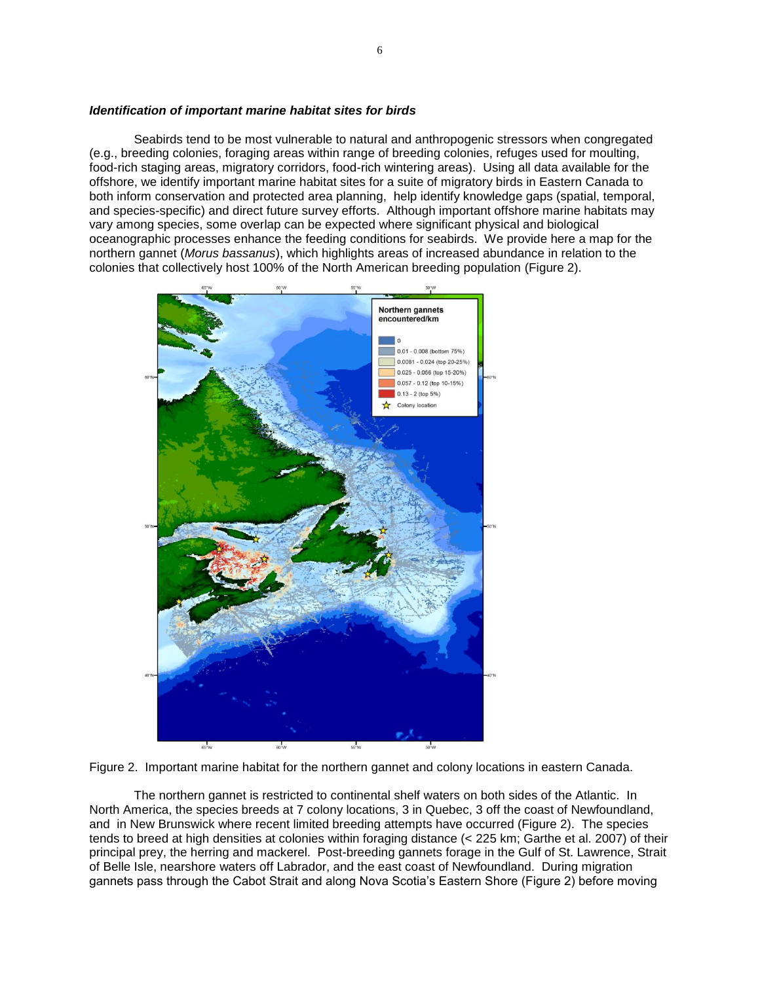#### *Identification of important marine habitat sites for birds*

Seabirds tend to be most vulnerable to natural and anthropogenic stressors when congregated (e.g., breeding colonies, foraging areas within range of breeding colonies, refuges used for moulting, food-rich staging areas, migratory corridors, food-rich wintering areas). Using all data available for the offshore, we identify important marine habitat sites for a suite of migratory birds in Eastern Canada to both inform conservation and protected area planning, help identify knowledge gaps (spatial, temporal, and species-specific) and direct future survey efforts. Although important offshore marine habitats may vary among species, some overlap can be expected where significant physical and biological oceanographic processes enhance the feeding conditions for seabirds. We provide here a map for the northern gannet (*Morus bassanus*), which highlights areas of increased abundance in relation to the colonies that collectively host 100% of the North American breeding population (Figure 2).





The northern gannet is restricted to continental shelf waters on both sides of the Atlantic. In North America, the species breeds at 7 colony locations, 3 in Quebec, 3 off the coast of Newfoundland, and in New Brunswick where recent limited breeding attempts have occurred (Figure 2). The species tends to breed at high densities at colonies within foraging distance (< 225 km; Garthe et al. 2007) of their principal prey, the herring and mackerel. Post-breeding gannets forage in the Gulf of St. Lawrence, Strait of Belle Isle, nearshore waters off Labrador, and the east coast of Newfoundland. During migration gannets pass through the Cabot Strait and along Nova Scotia's Eastern Shore (Figure 2) before moving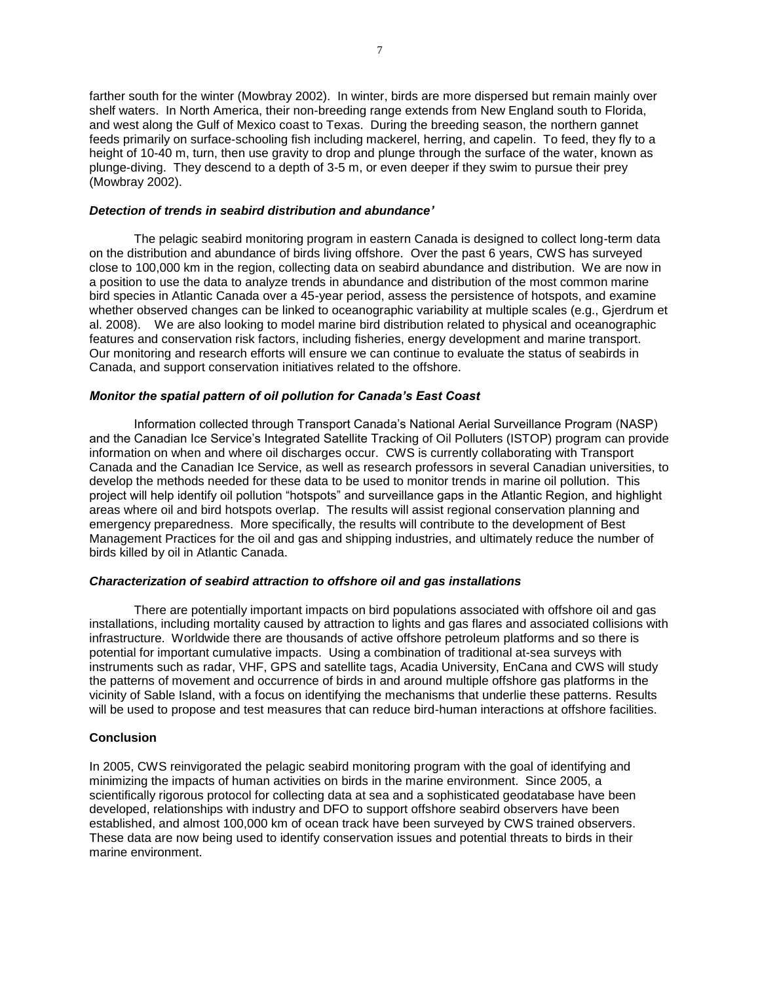farther south for the winter (Mowbray 2002). In winter, birds are more dispersed but remain mainly over shelf waters. In North America, their non-breeding range extends from New England south to Florida, and west along the Gulf of Mexico coast to Texas. During the breeding season, the northern gannet feeds primarily on surface-schooling fish including mackerel, herring, and capelin. To feed, they fly to a height of 10-40 m, turn, then use gravity to drop and plunge through the surface of the water, known as plunge-diving. They descend to a depth of 3-5 m, or even deeper if they swim to pursue their prey (Mowbray 2002).

#### *Detection of trends in seabird distribution and abundance'*

The pelagic seabird monitoring program in eastern Canada is designed to collect long-term data on the distribution and abundance of birds living offshore. Over the past 6 years, CWS has surveyed close to 100,000 km in the region, collecting data on seabird abundance and distribution. We are now in a position to use the data to analyze trends in abundance and distribution of the most common marine bird species in Atlantic Canada over a 45-year period, assess the persistence of hotspots, and examine whether observed changes can be linked to oceanographic variability at multiple scales (e.g., Gjerdrum et al. 2008). We are also looking to model marine bird distribution related to physical and oceanographic features and conservation risk factors, including fisheries, energy development and marine transport. Our monitoring and research efforts will ensure we can continue to evaluate the status of seabirds in Canada, and support conservation initiatives related to the offshore.

### *Monitor the spatial pattern of oil pollution for Canada's East Coast*

Information collected through Transport Canada's National Aerial Surveillance Program (NASP) and the Canadian Ice Service's Integrated Satellite Tracking of Oil Polluters (ISTOP) program can provide information on when and where oil discharges occur. CWS is currently collaborating with Transport Canada and the Canadian Ice Service, as well as research professors in several Canadian universities, to develop the methods needed for these data to be used to monitor trends in marine oil pollution. This project will help identify oil pollution "hotspots" and surveillance gaps in the Atlantic Region, and highlight areas where oil and bird hotspots overlap. The results will assist regional conservation planning and emergency preparedness. More specifically, the results will contribute to the development of Best Management Practices for the oil and gas and shipping industries, and ultimately reduce the number of birds killed by oil in Atlantic Canada.

#### *Characterization of seabird attraction to offshore oil and gas installations*

There are potentially important impacts on bird populations associated with offshore oil and gas installations, including mortality caused by attraction to lights and gas flares and associated collisions with infrastructure. Worldwide there are thousands of active offshore petroleum platforms and so there is potential for important cumulative impacts. Using a combination of traditional at-sea surveys with instruments such as radar, VHF, GPS and satellite tags, Acadia University, EnCana and CWS will study the patterns of movement and occurrence of birds in and around multiple offshore gas platforms in the vicinity of Sable Island, with a focus on identifying the mechanisms that underlie these patterns. Results will be used to propose and test measures that can reduce bird-human interactions at offshore facilities.

#### **Conclusion**

In 2005, CWS reinvigorated the pelagic seabird monitoring program with the goal of identifying and minimizing the impacts of human activities on birds in the marine environment. Since 2005, a scientifically rigorous protocol for collecting data at sea and a sophisticated geodatabase have been developed, relationships with industry and DFO to support offshore seabird observers have been established, and almost 100,000 km of ocean track have been surveyed by CWS trained observers. These data are now being used to identify conservation issues and potential threats to birds in their marine environment.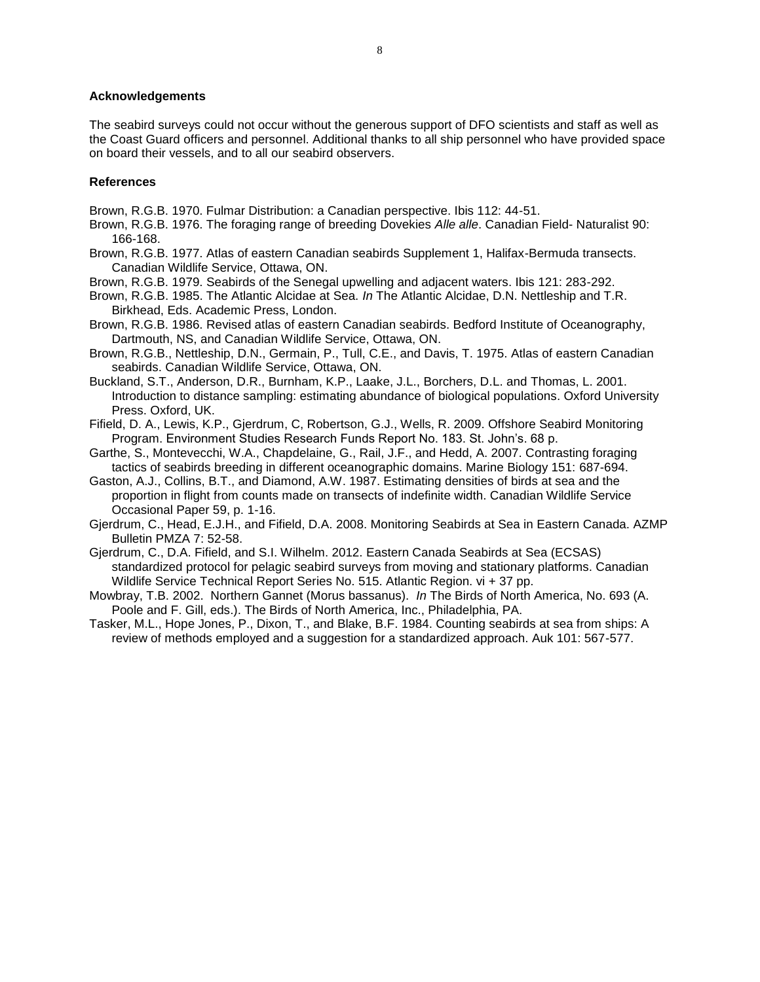### **Acknowledgements**

The seabird surveys could not occur without the generous support of DFO scientists and staff as well as the Coast Guard officers and personnel. Additional thanks to all ship personnel who have provided space on board their vessels, and to all our seabird observers.

### **References**

- Brown, R.G.B. 1970. Fulmar Distribution: a Canadian perspective. Ibis 112: 44-51.
- Brown, R.G.B. 1976. The foraging range of breeding Dovekies *Alle alle*. Canadian Field- Naturalist 90: 166-168.
- Brown, R.G.B. 1977. Atlas of eastern Canadian seabirds Supplement 1, Halifax-Bermuda transects. Canadian Wildlife Service, Ottawa, ON.
- Brown, R.G.B. 1979. Seabirds of the Senegal upwelling and adjacent waters. Ibis 121: 283-292.
- Brown, R.G.B. 1985. The Atlantic Alcidae at Sea. *In* The Atlantic Alcidae, D.N. Nettleship and T.R. Birkhead, Eds. Academic Press, London.
- Brown, R.G.B. 1986. Revised atlas of eastern Canadian seabirds. Bedford Institute of Oceanography, Dartmouth, NS, and Canadian Wildlife Service, Ottawa, ON.
- Brown, R.G.B., Nettleship, D.N., Germain, P., Tull, C.E., and Davis, T. 1975. Atlas of eastern Canadian seabirds. Canadian Wildlife Service, Ottawa, ON.
- Buckland, S.T., Anderson, D.R., Burnham, K.P., Laake, J.L., Borchers, D.L. and Thomas, L. 2001. Introduction to distance sampling: estimating abundance of biological populations. Oxford University Press. Oxford, UK.
- Fifield, D. A., Lewis, K.P., Gjerdrum, C, Robertson, G.J., Wells, R. 2009. Offshore Seabird Monitoring Program. Environment Studies Research Funds Report No. 183. St. John's. 68 p.
- Garthe, S., Montevecchi, W.A., Chapdelaine, G., Rail, J.F., and Hedd, A. 2007. Contrasting foraging tactics of seabirds breeding in different oceanographic domains. Marine Biology 151: 687-694.
- Gaston, A.J., Collins, B.T., and Diamond, A.W. 1987. Estimating densities of birds at sea and the proportion in flight from counts made on transects of indefinite width. Canadian Wildlife Service Occasional Paper 59, p. 1-16.
- Gjerdrum, C., Head, E.J.H., and Fifield, D.A. 2008. Monitoring Seabirds at Sea in Eastern Canada. AZMP Bulletin PMZA 7: 52-58.
- Gjerdrum, C., D.A. Fifield, and S.I. Wilhelm. 2012. Eastern Canada Seabirds at Sea (ECSAS) standardized protocol for pelagic seabird surveys from moving and stationary platforms. Canadian Wildlife Service Technical Report Series No. 515. Atlantic Region. vi + 37 pp.
- Mowbray, T.B. 2002. Northern Gannet (Morus bassanus). *In* The Birds of North America, No. 693 (A. Poole and F. Gill, eds.). The Birds of North America, Inc., Philadelphia, PA.
- Tasker, M.L., Hope Jones, P., Dixon, T., and Blake, B.F. 1984. Counting seabirds at sea from ships: A review of methods employed and a suggestion for a standardized approach. Auk 101: 567-577.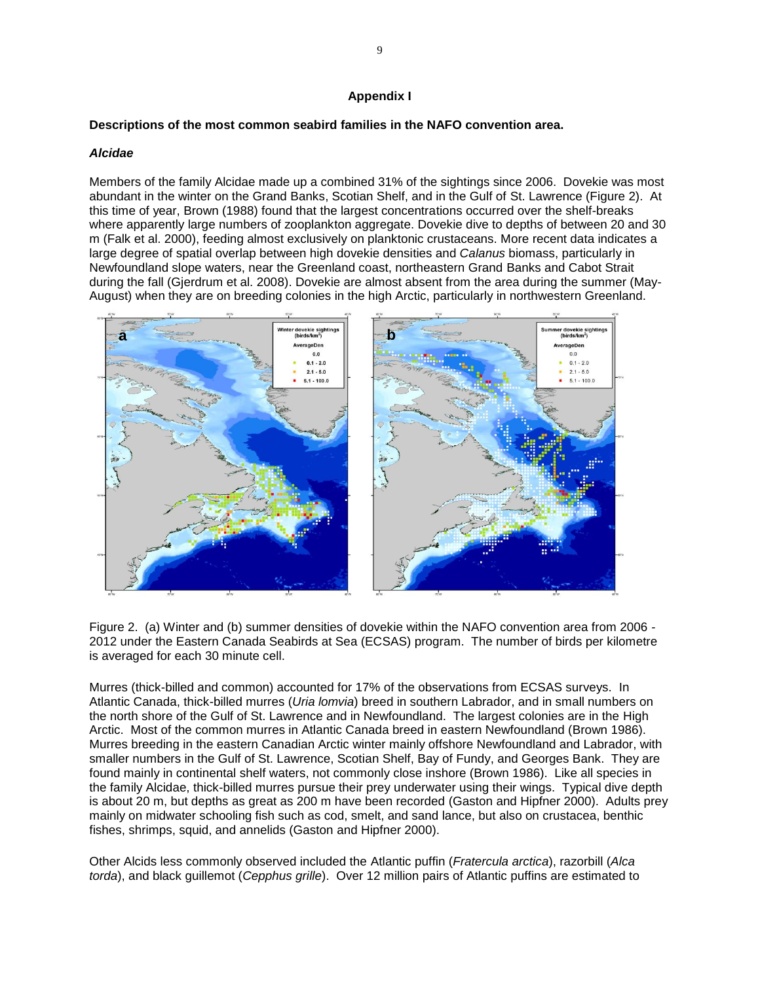### **Appendix I**

### **Descriptions of the most common seabird families in the NAFO convention area.**

### *Alcidae*

Members of the family Alcidae made up a combined 31% of the sightings since 2006. Dovekie was most abundant in the winter on the Grand Banks, Scotian Shelf, and in the Gulf of St. Lawrence (Figure 2). At this time of year, Brown (1988) found that the largest concentrations occurred over the shelf-breaks where apparently large numbers of zooplankton aggregate. Dovekie dive to depths of between 20 and 30 m (Falk et al. 2000), feeding almost exclusively on planktonic crustaceans. More recent data indicates a large degree of spatial overlap between high dovekie densities and *Calanus* biomass, particularly in Newfoundland slope waters, near the Greenland coast, northeastern Grand Banks and Cabot Strait during the fall (Gjerdrum et al. 2008). Dovekie are almost absent from the area during the summer (May-August) when they are on breeding colonies in the high Arctic, particularly in northwestern Greenland.



Figure 2. (a) Winter and (b) summer densities of dovekie within the NAFO convention area from 2006 - 2012 under the Eastern Canada Seabirds at Sea (ECSAS) program. The number of birds per kilometre is averaged for each 30 minute cell.

Murres (thick-billed and common) accounted for 17% of the observations from ECSAS surveys. In Atlantic Canada, thick-billed murres (*Uria lomvia*) breed in southern Labrador, and in small numbers on the north shore of the Gulf of St. Lawrence and in Newfoundland. The largest colonies are in the High Arctic. Most of the common murres in Atlantic Canada breed in eastern Newfoundland (Brown 1986). Murres breeding in the eastern Canadian Arctic winter mainly offshore Newfoundland and Labrador, with smaller numbers in the Gulf of St. Lawrence, Scotian Shelf, Bay of Fundy, and Georges Bank. They are found mainly in continental shelf waters, not commonly close inshore (Brown 1986). Like all species in the family Alcidae, thick-billed murres pursue their prey underwater using their wings. Typical dive depth is about 20 m, but depths as great as 200 m have been recorded (Gaston and Hipfner 2000). Adults prey mainly on midwater schooling fish such as cod, smelt, and sand lance, but also on crustacea, benthic fishes, shrimps, squid, and annelids (Gaston and Hipfner 2000).

Other Alcids less commonly observed included the Atlantic puffin (*Fratercula arctica*), razorbill (*Alca torda*), and black guillemot (*Cepphus grille*). Over 12 million pairs of Atlantic puffins are estimated to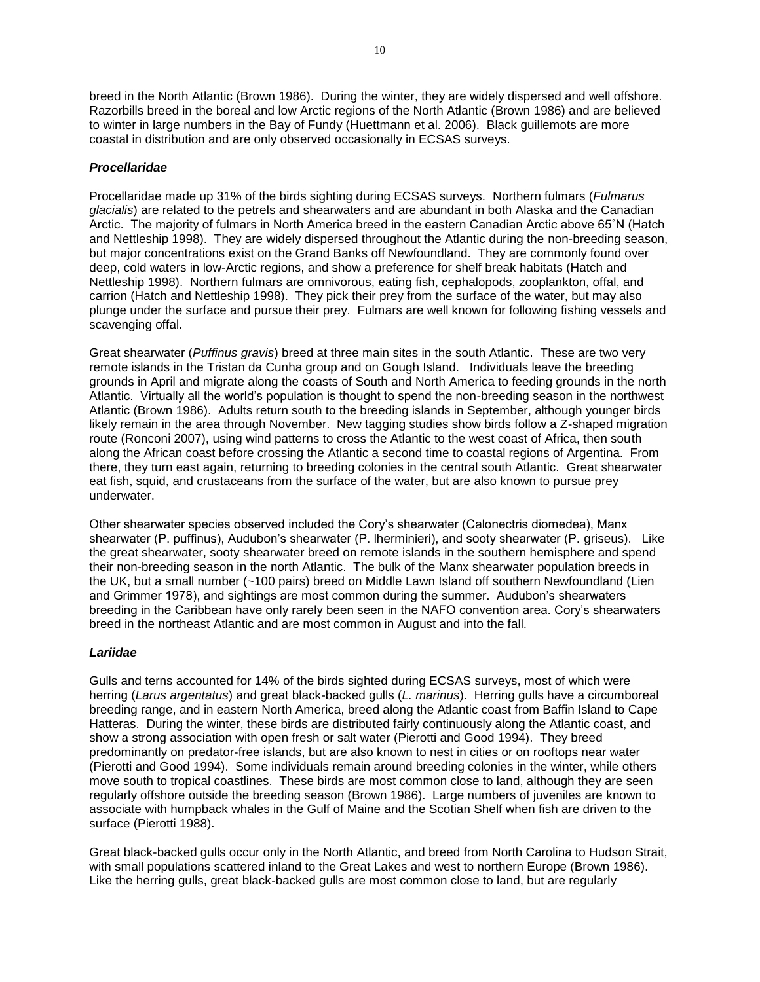breed in the North Atlantic (Brown 1986). During the winter, they are widely dispersed and well offshore. Razorbills breed in the boreal and low Arctic regions of the North Atlantic (Brown 1986) and are believed to winter in large numbers in the Bay of Fundy (Huettmann et al. 2006). Black guillemots are more coastal in distribution and are only observed occasionally in ECSAS surveys.

### *Procellaridae*

Procellaridae made up 31% of the birds sighting during ECSAS surveys. Northern fulmars (*Fulmarus glacialis*) are related to the petrels and shearwaters and are abundant in both Alaska and the Canadian Arctic. The majority of fulmars in North America breed in the eastern Canadian Arctic above 65˚N (Hatch and Nettleship 1998). They are widely dispersed throughout the Atlantic during the non-breeding season, but major concentrations exist on the Grand Banks off Newfoundland. They are commonly found over deep, cold waters in low-Arctic regions, and show a preference for shelf break habitats (Hatch and Nettleship 1998). Northern fulmars are omnivorous, eating fish, cephalopods, zooplankton, offal, and carrion (Hatch and Nettleship 1998). They pick their prey from the surface of the water, but may also plunge under the surface and pursue their prey. Fulmars are well known for following fishing vessels and scavenging offal.

Great shearwater (*Puffinus gravis*) breed at three main sites in the south Atlantic. These are two very remote islands in the Tristan da Cunha group and on Gough Island. Individuals leave the breeding grounds in April and migrate along the coasts of South and North America to feeding grounds in the north Atlantic. Virtually all the world's population is thought to spend the non-breeding season in the northwest Atlantic (Brown 1986). Adults return south to the breeding islands in September, although younger birds likely remain in the area through November. New tagging studies show birds follow a Z-shaped migration route (Ronconi 2007), using wind patterns to cross the Atlantic to the west coast of Africa, then south along the African coast before crossing the Atlantic a second time to coastal regions of Argentina. From there, they turn east again, returning to breeding colonies in the central south Atlantic. Great shearwater eat fish, squid, and crustaceans from the surface of the water, but are also known to pursue prey underwater.

Other shearwater species observed included the Cory's shearwater (Calonectris diomedea), Manx shearwater (P. puffinus), Audubon's shearwater (P. lherminieri), and sooty shearwater (P. griseus). Like the great shearwater, sooty shearwater breed on remote islands in the southern hemisphere and spend their non-breeding season in the north Atlantic. The bulk of the Manx shearwater population breeds in the UK, but a small number (~100 pairs) breed on Middle Lawn Island off southern Newfoundland (Lien and Grimmer 1978), and sightings are most common during the summer. Audubon's shearwaters breeding in the Caribbean have only rarely been seen in the NAFO convention area. Cory's shearwaters breed in the northeast Atlantic and are most common in August and into the fall.

### *Lariidae*

Gulls and terns accounted for 14% of the birds sighted during ECSAS surveys, most of which were herring (*Larus argentatus*) and great black-backed gulls (*L. marinus*). Herring gulls have a circumboreal breeding range, and in eastern North America, breed along the Atlantic coast from Baffin Island to Cape Hatteras. During the winter, these birds are distributed fairly continuously along the Atlantic coast, and show a strong association with open fresh or salt water (Pierotti and Good 1994). They breed predominantly on predator-free islands, but are also known to nest in cities or on rooftops near water (Pierotti and Good 1994). Some individuals remain around breeding colonies in the winter, while others move south to tropical coastlines. These birds are most common close to land, although they are seen regularly offshore outside the breeding season (Brown 1986). Large numbers of juveniles are known to associate with humpback whales in the Gulf of Maine and the Scotian Shelf when fish are driven to the surface (Pierotti 1988).

Great black-backed gulls occur only in the North Atlantic, and breed from North Carolina to Hudson Strait, with small populations scattered inland to the Great Lakes and west to northern Europe (Brown 1986). Like the herring gulls, great black-backed gulls are most common close to land, but are regularly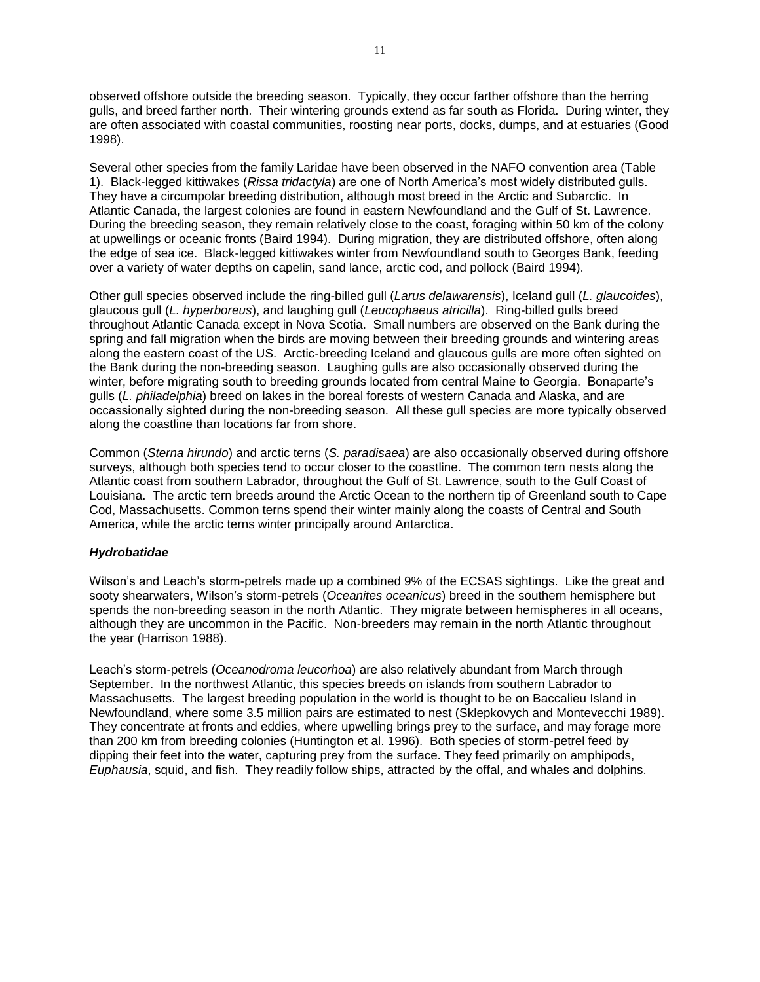observed offshore outside the breeding season. Typically, they occur farther offshore than the herring gulls, and breed farther north. Their wintering grounds extend as far south as Florida. During winter, they are often associated with coastal communities, roosting near ports, docks, dumps, and at estuaries (Good 1998).

Several other species from the family Laridae have been observed in the NAFO convention area (Table 1). Black-legged kittiwakes (*Rissa tridactyla*) are one of North America's most widely distributed gulls. They have a circumpolar breeding distribution, although most breed in the Arctic and Subarctic. In Atlantic Canada, the largest colonies are found in eastern Newfoundland and the Gulf of St. Lawrence. During the breeding season, they remain relatively close to the coast, foraging within 50 km of the colony at upwellings or oceanic fronts (Baird 1994). During migration, they are distributed offshore, often along the edge of sea ice. Black-legged kittiwakes winter from Newfoundland south to Georges Bank, feeding over a variety of water depths on capelin, sand lance, arctic cod, and pollock (Baird 1994).

Other gull species observed include the ring-billed gull (*Larus delawarensis*), Iceland gull (*L. glaucoides*), glaucous gull (*L. hyperboreus*), and laughing gull (*Leucophaeus atricilla*). Ring-billed gulls breed throughout Atlantic Canada except in Nova Scotia. Small numbers are observed on the Bank during the spring and fall migration when the birds are moving between their breeding grounds and wintering areas along the eastern coast of the US. Arctic-breeding Iceland and glaucous gulls are more often sighted on the Bank during the non-breeding season. Laughing gulls are also occasionally observed during the winter, before migrating south to breeding grounds located from central Maine to Georgia. Bonaparte's gulls (*L. philadelphia*) breed on lakes in the boreal forests of western Canada and Alaska, and are occassionally sighted during the non-breeding season. All these gull species are more typically observed along the coastline than locations far from shore.

Common (*Sterna hirundo*) and arctic terns (*S. paradisaea*) are also occasionally observed during offshore surveys, although both species tend to occur closer to the coastline. The common tern nests along the Atlantic coast from southern Labrador, throughout the Gulf of St. Lawrence, south to the Gulf Coast of Louisiana. The arctic tern breeds around the Arctic Ocean to the northern tip of Greenland south to Cape Cod, Massachusetts. Common terns spend their winter mainly along the coasts of Central and South America, while the arctic terns winter principally around Antarctica.

### *Hydrobatidae*

Wilson's and Leach's storm-petrels made up a combined 9% of the ECSAS sightings. Like the great and sooty shearwaters, Wilson's storm-petrels (*Oceanites oceanicus*) breed in the southern hemisphere but spends the non-breeding season in the north Atlantic. They migrate between hemispheres in all oceans, although they are uncommon in the Pacific. Non-breeders may remain in the north Atlantic throughout the year (Harrison 1988).

Leach's storm-petrels (*Oceanodroma leucorhoa*) are also relatively abundant from March through September. In the northwest Atlantic, this species breeds on islands from southern Labrador to Massachusetts. The largest breeding population in the world is thought to be on Baccalieu Island in Newfoundland, where some 3.5 million pairs are estimated to nest (Sklepkovych and Montevecchi 1989). They concentrate at fronts and eddies, where upwelling brings prey to the surface, and may forage more than 200 km from breeding colonies (Huntington et al. 1996). Both species of storm-petrel feed by dipping their feet into the water, capturing prey from the surface. They feed primarily on amphipods, *Euphausia*, squid, and fish. They readily follow ships, attracted by the offal, and whales and dolphins.